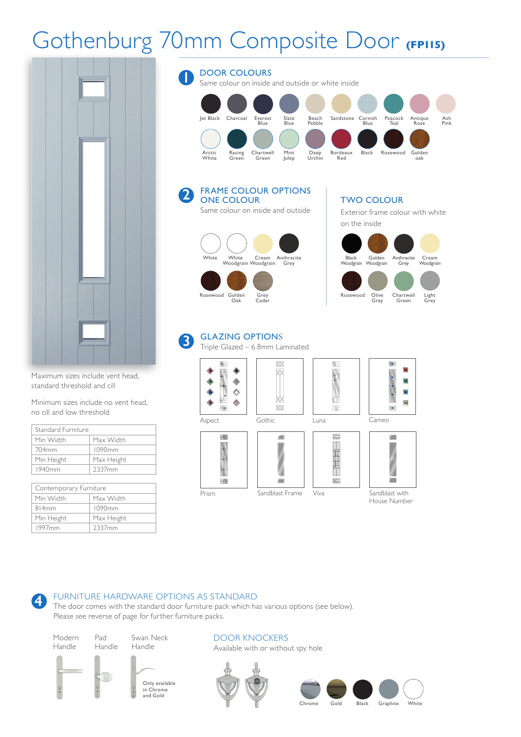# Gothenburg 70mm Composite Door **(FP115)**



Maximum sizes include vent head, standard threshold and cill

Minimum sizes include no vent head, no cill and low threshold

| Standard Furniture |            |
|--------------------|------------|
| Min Width          | Max Width  |
| 704mm              | 1090mm     |
| Min Height         | Max Height |
| 1940mm             | 2337mm     |

| Contemporary Furniture |            |  |
|------------------------|------------|--|
| Min Width              | Max Width  |  |
| 814mm                  | 1090mm     |  |
| Min Height             | Max Height |  |
| 1997 <sub>mm</sub>     | 2337mm     |  |



#### GLAZING OPTIONS **3**

Triple Glazed – 6.8mm Laminated

Prism Sandblast Frame



 $\Diamond$ 



ЮX



盂

N.





House Number

#### FURNITURE HARDWARE OPTIONS AS STANDARD **4**

The door comes with the standard door furniture pack which has various options (see below). Please see reverse of page for further furniture packs.



Pad Handle





DOOR KNOCKERS Available with or without spy hole